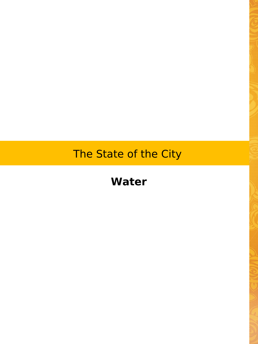# The State of the City

## **Water**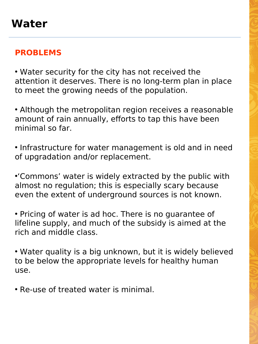#### **PROBLEMS**

• Water security for the city has not received the attention it deserves. There is no long-term plan in place to meet the growing needs of the population.

• Although the metropolitan region receives a reasonable amount of rain annually, efforts to tap this have been minimal so far.

• Infrastructure for water management is old and in need of upgradation and/or replacement.

•'Commons' water is widely extracted by the public with almost no regulation; this is especially scary because even the extent of underground sources is not known.

• Pricing of water is ad hoc. There is no guarantee of lifeline supply, and much of the subsidy is aimed at the rich and middle class.

• Water quality is a big unknown, but it is widely believed to be below the appropriate levels for healthy human use.

• Re-use of treated water is minimal.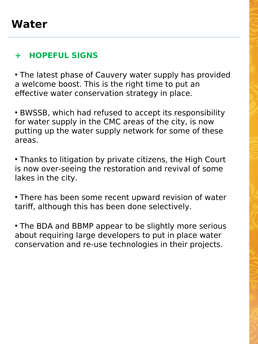## **+ HOPEFUL SIGNS**

• The latest phase of Cauvery water supply has provided a welcome boost. This is the right time to put an effective water conservation strategy in place.

• BWSSB, which had refused to accept its responsibility for water supply in the CMC areas of the city, is now putting up the water supply network for some of these areas.

• Thanks to litigation by private citizens, the High Court is now over-seeing the restoration and revival of some lakes in the city.

• There has been some recent upward revision of water tariff, although this has been done selectively.

• The BDA and BBMP appear to be slightly more serious about requiring large developers to put in place water conservation and re-use technologies in their projects.